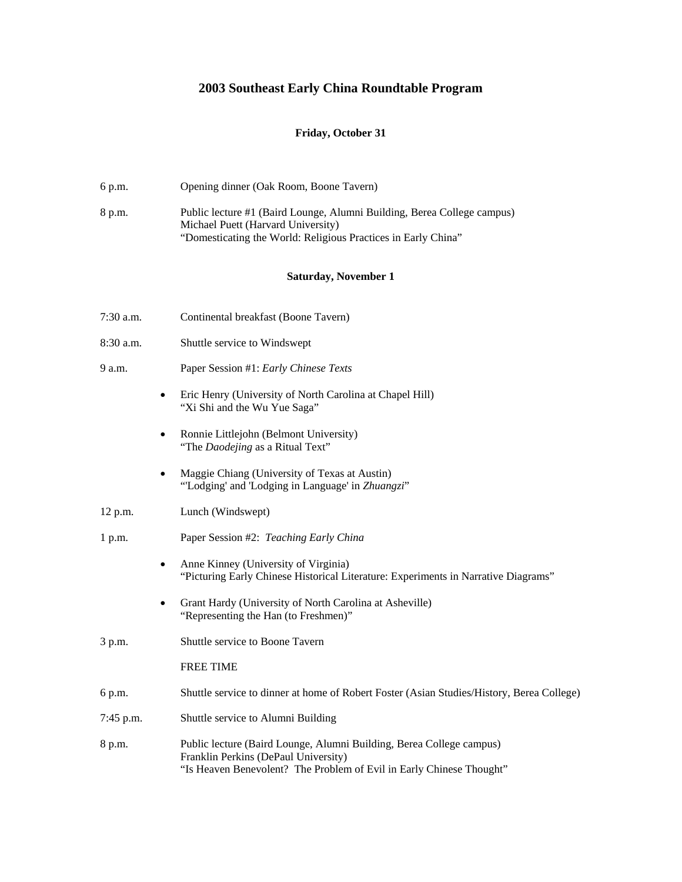## **2003 Southeast Early China Roundtable Program**

## **Friday, October 31**

6 p.m. Opening dinner (Oak Room, Boone Tavern)

| 8 p.m.      |           | Public lecture #1 (Baird Lounge, Alumni Building, Berea College campus)<br>Michael Puett (Harvard University)<br>"Domesticating the World: Religious Practices in Early China"       |
|-------------|-----------|--------------------------------------------------------------------------------------------------------------------------------------------------------------------------------------|
|             |           | Saturday, November 1                                                                                                                                                                 |
| 7:30 a.m.   |           | Continental breakfast (Boone Tavern)                                                                                                                                                 |
| $8:30$ a.m. |           | Shuttle service to Windswept                                                                                                                                                         |
| 9 a.m.      |           | Paper Session #1: Early Chinese Texts                                                                                                                                                |
|             | $\bullet$ | Eric Henry (University of North Carolina at Chapel Hill)<br>"Xi Shi and the Wu Yue Saga"                                                                                             |
|             |           | Ronnie Littlejohn (Belmont University)<br>"The Daodejing as a Ritual Text"                                                                                                           |
|             |           | Maggie Chiang (University of Texas at Austin)<br>"Lodging' and 'Lodging in Language' in Zhuangzi"                                                                                    |
| 12 p.m.     |           | Lunch (Windswept)                                                                                                                                                                    |
| 1 p.m.      |           | Paper Session #2: Teaching Early China                                                                                                                                               |
|             | $\bullet$ | Anne Kinney (University of Virginia)<br>"Picturing Early Chinese Historical Literature: Experiments in Narrative Diagrams"                                                           |
|             |           | Grant Hardy (University of North Carolina at Asheville)<br>"Representing the Han (to Freshmen)"                                                                                      |
| 3 p.m.      |           | Shuttle service to Boone Tavern                                                                                                                                                      |
|             |           | <b>FREE TIME</b>                                                                                                                                                                     |
| 6 p.m.      |           | Shuttle service to dinner at home of Robert Foster (Asian Studies/History, Berea College)                                                                                            |
| 7:45 p.m.   |           | Shuttle service to Alumni Building                                                                                                                                                   |
| 8 p.m.      |           | Public lecture (Baird Lounge, Alumni Building, Berea College campus)<br>Franklin Perkins (DePaul University)<br>"Is Heaven Benevolent? The Problem of Evil in Early Chinese Thought" |